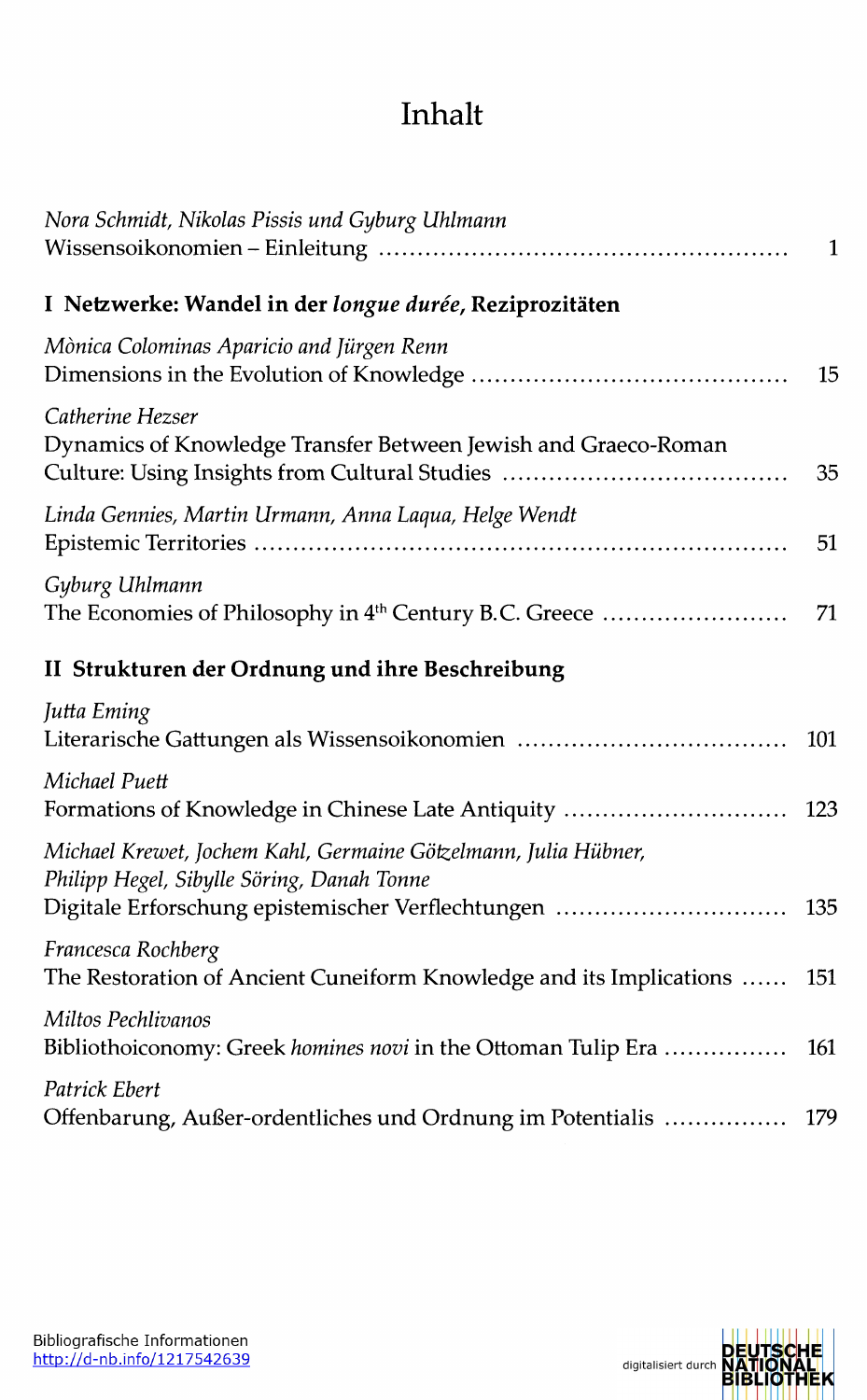## Inhalt

| Nora Schmidt, Nikolas Pissis und Gyburg Uhlmann                                                                                     | 1   |
|-------------------------------------------------------------------------------------------------------------------------------------|-----|
| I Netzwerke: Wandel in der longue durée, Reziprozitäten                                                                             |     |
| Mònica Colominas Aparicio and Jürgen Renn                                                                                           | 15  |
| Catherine Hezser<br>Dynamics of Knowledge Transfer Between Jewish and Graeco-Roman<br>Culture: Using Insights from Cultural Studies | 35  |
| Linda Gennies, Martin Urmann, Anna Laqua, Helge Wendt                                                                               | 51  |
| Gyburg Uhlmann<br>The Economies of Philosophy in 4 <sup>th</sup> Century B.C. Greece                                                | 71  |
| II Strukturen der Ordnung und ihre Beschreibung                                                                                     |     |
| Jutta Eming<br>Literarische Gattungen als Wissensoikonomien                                                                         | 101 |
| Michael Puett<br>Formations of Knowledge in Chinese Late Antiquity                                                                  | 123 |
| Michael Krewet, Jochem Kahl, Germaine Götzelmann, Julia Hübner,<br>Philipp Hegel, Sibylle Söring, Danah Tonne                       |     |
| Digitale Erforschung epistemischer Verflechtungen                                                                                   | 135 |
| Francesca Rochberg<br>The Restoration of Ancient Cuneiform Knowledge and its Implications                                           | 151 |
| Miltos Pechlivanos<br>Bibliothoiconomy: Greek homines novi in the Ottoman Tulip Era                                                 | 161 |
| Patrick Ebert<br>Offenbarung, Außer-ordentliches und Ordnung im Potentialis                                                         | 179 |